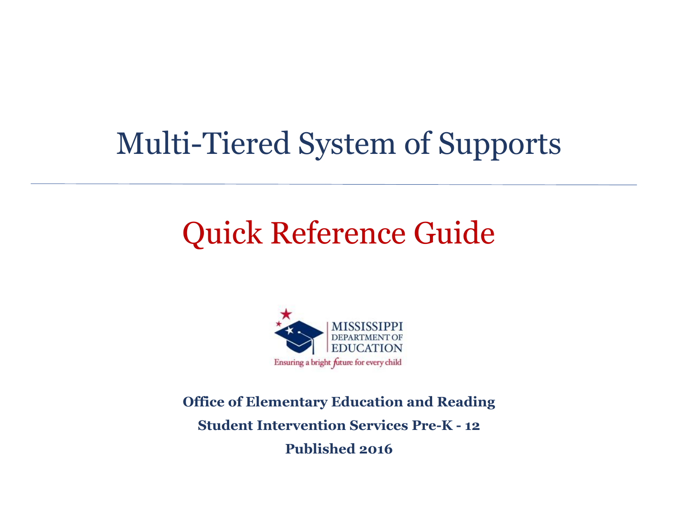# Multi-Tiered System of Supports

# Quick Reference Guide



**Office of Elementary Education and Reading Student Intervention Services Pre-K - 12 Published 2016**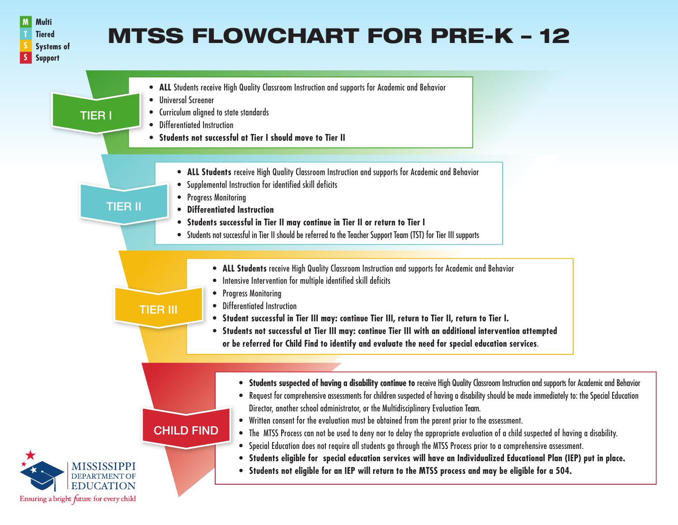

# **MTSS FLOWCHART FOR PRE-K - 12**

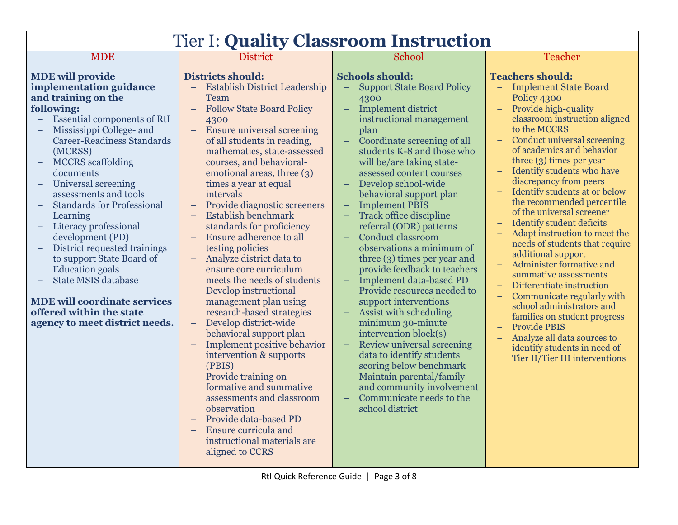| <b>Tier I: Quality Classroom Instruction</b>                                                                                                                                                                                                                                                                                                                                                                                                                                                                                                                                                                               |                                                                                                                                                                                                                                                                                                                                                                                                                                                                                                                                                                                                                                                                                                                                                                                                                                                                                                                                                                                                                                     |                                                                                                                                                                                                                                                                                                                                                                                                                                                                                                                                                                                                                                                                                                                                                                                                                                                                                                                                               |                                                                                                                                                                                                                                                                                                                                                                                                                                                                                                                                                                                                                                                                                                                                                                                                                          |  |  |
|----------------------------------------------------------------------------------------------------------------------------------------------------------------------------------------------------------------------------------------------------------------------------------------------------------------------------------------------------------------------------------------------------------------------------------------------------------------------------------------------------------------------------------------------------------------------------------------------------------------------------|-------------------------------------------------------------------------------------------------------------------------------------------------------------------------------------------------------------------------------------------------------------------------------------------------------------------------------------------------------------------------------------------------------------------------------------------------------------------------------------------------------------------------------------------------------------------------------------------------------------------------------------------------------------------------------------------------------------------------------------------------------------------------------------------------------------------------------------------------------------------------------------------------------------------------------------------------------------------------------------------------------------------------------------|-----------------------------------------------------------------------------------------------------------------------------------------------------------------------------------------------------------------------------------------------------------------------------------------------------------------------------------------------------------------------------------------------------------------------------------------------------------------------------------------------------------------------------------------------------------------------------------------------------------------------------------------------------------------------------------------------------------------------------------------------------------------------------------------------------------------------------------------------------------------------------------------------------------------------------------------------|--------------------------------------------------------------------------------------------------------------------------------------------------------------------------------------------------------------------------------------------------------------------------------------------------------------------------------------------------------------------------------------------------------------------------------------------------------------------------------------------------------------------------------------------------------------------------------------------------------------------------------------------------------------------------------------------------------------------------------------------------------------------------------------------------------------------------|--|--|
| <b>MDE</b>                                                                                                                                                                                                                                                                                                                                                                                                                                                                                                                                                                                                                 | <b>District</b>                                                                                                                                                                                                                                                                                                                                                                                                                                                                                                                                                                                                                                                                                                                                                                                                                                                                                                                                                                                                                     | School                                                                                                                                                                                                                                                                                                                                                                                                                                                                                                                                                                                                                                                                                                                                                                                                                                                                                                                                        | <b>Teacher</b>                                                                                                                                                                                                                                                                                                                                                                                                                                                                                                                                                                                                                                                                                                                                                                                                           |  |  |
| <b>MDE</b> will provide<br>implementation guidance<br>and training on the<br>following:<br><b>Essential components of RtI</b><br>Mississippi College- and<br><b>Career-Readiness Standards</b><br>(MCRSS)<br><b>MCCRS</b> scaffolding<br>documents<br>Universal screening<br>assessments and tools<br><b>Standards for Professional</b><br>Learning<br>Literacy professional<br>development (PD)<br>District requested trainings<br>to support State Board of<br><b>Education</b> goals<br><b>State MSIS database</b><br><b>MDE will coordinate services</b><br>offered within the state<br>agency to meet district needs. | <b>Districts should:</b><br>- Establish District Leadership<br><b>Team</b><br><b>Follow State Board Policy</b><br>$\equiv$<br>4300<br>Ensure universal screening<br>$\equiv$<br>of all students in reading.<br>mathematics, state-assessed<br>courses, and behavioral-<br>emotional areas, three (3)<br>times a year at equal<br>intervals<br>Provide diagnostic screeners<br>Establish benchmark<br>standards for proficiency<br>Ensure adherence to all<br>$\equiv$<br>testing policies<br>Analyze district data to<br>$\equiv$<br>ensure core curriculum<br>meets the needs of students<br>Develop instructional<br>$\qquad \qquad -$<br>management plan using<br>research-based strategies<br>Develop district-wide<br>$\equiv$<br>behavioral support plan<br>Implement positive behavior<br>intervention & supports<br>(PBIS)<br>Provide training on<br>formative and summative<br>assessments and classroom<br>observation<br>Provide data-based PD<br>Ensure curricula and<br>instructional materials are<br>aligned to CCRS | <b>Schools should:</b><br><b>Support State Board Policy</b><br>$\equiv$<br>4300<br><b>Implement district</b><br>$\equiv$<br>instructional management<br>plan<br>Coordinate screening of all<br>students K-8 and those who<br>will be/are taking state-<br>assessed content courses<br>Develop school-wide<br>behavioral support plan<br><b>Implement PBIS</b><br><b>Track office discipline</b><br>referral (ODR) patterns<br><b>Conduct classroom</b><br>$\equiv$<br>observations a minimum of<br>three $(3)$ times per year and<br>provide feedback to teachers<br>Implement data-based PD<br>Provide resources needed to<br>support interventions<br>Assist with scheduling<br>minimum 30-minute<br>intervention block(s)<br>Review universal screening<br>$\equiv$<br>data to identify students<br>scoring below benchmark<br>Maintain parental/family<br>and community involvement<br>Communicate needs to the<br>$=$<br>school district | <b>Teachers should:</b><br>- Implement State Board<br>Policy 4300<br>Provide high-quality<br>classroom instruction aligned<br>to the MCCRS<br>Conduct universal screening<br>of academics and behavior<br>three (3) times per year<br>Identify students who have<br>discrepancy from peers<br>Identify students at or below<br>the recommended percentile<br>of the universal screener<br><b>Identify student deficits</b><br>Adapt instruction to meet the<br>needs of students that require<br>additional support<br>Administer formative and<br>summative assessments<br>Differentiate instruction<br>Communicate regularly with<br>school administrators and<br>families on student progress<br><b>Provide PBIS</b><br>Analyze all data sources to<br>identify students in need of<br>Tier II/Tier III interventions |  |  |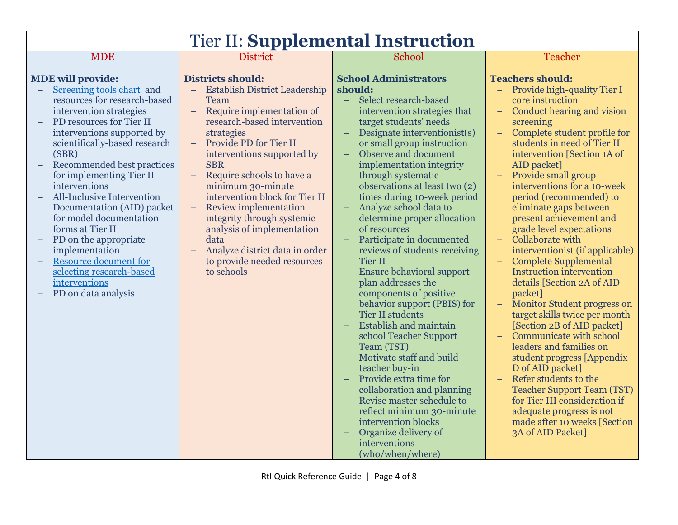| <b>Tier II: Supplemental Instruction</b>                                                                                                                                                                                                                                                                                                                                                                                                                                                                                                                  |                                                                                                                                                                                                                                                                                                                                                                                                                                                                                                                                            |                                                                                                                                                                                                                                                                                                                                                                                                                                                                                                                                                                                                                                                                                                                                                                                                                                                                                                                                                                                    |                                                                                                                                                                                                                                                                                                                                                                                                                                                                                                                                                                                                                                                                                                                                                                                                                                                                                                                                                                                                |  |  |
|-----------------------------------------------------------------------------------------------------------------------------------------------------------------------------------------------------------------------------------------------------------------------------------------------------------------------------------------------------------------------------------------------------------------------------------------------------------------------------------------------------------------------------------------------------------|--------------------------------------------------------------------------------------------------------------------------------------------------------------------------------------------------------------------------------------------------------------------------------------------------------------------------------------------------------------------------------------------------------------------------------------------------------------------------------------------------------------------------------------------|------------------------------------------------------------------------------------------------------------------------------------------------------------------------------------------------------------------------------------------------------------------------------------------------------------------------------------------------------------------------------------------------------------------------------------------------------------------------------------------------------------------------------------------------------------------------------------------------------------------------------------------------------------------------------------------------------------------------------------------------------------------------------------------------------------------------------------------------------------------------------------------------------------------------------------------------------------------------------------|------------------------------------------------------------------------------------------------------------------------------------------------------------------------------------------------------------------------------------------------------------------------------------------------------------------------------------------------------------------------------------------------------------------------------------------------------------------------------------------------------------------------------------------------------------------------------------------------------------------------------------------------------------------------------------------------------------------------------------------------------------------------------------------------------------------------------------------------------------------------------------------------------------------------------------------------------------------------------------------------|--|--|
| <b>MDE</b>                                                                                                                                                                                                                                                                                                                                                                                                                                                                                                                                                | <b>District</b>                                                                                                                                                                                                                                                                                                                                                                                                                                                                                                                            | School                                                                                                                                                                                                                                                                                                                                                                                                                                                                                                                                                                                                                                                                                                                                                                                                                                                                                                                                                                             | Teacher                                                                                                                                                                                                                                                                                                                                                                                                                                                                                                                                                                                                                                                                                                                                                                                                                                                                                                                                                                                        |  |  |
| <b>MDE</b> will provide:<br>Screening tools chart and<br>resources for research-based<br>intervention strategies<br>PD resources for Tier II<br>interventions supported by<br>scientifically-based research<br>(SBR)<br>Recommended best practices<br>for implementing Tier II<br>interventions<br>All-Inclusive Intervention<br>Documentation (AID) packet<br>for model documentation<br>forms at Tier II<br>PD on the appropriate<br>implementation<br><b>Resource document for</b><br>selecting research-based<br>interventions<br>PD on data analysis | <b>Districts should:</b><br><b>Establish District Leadership</b><br>Team<br>Require implementation of<br>$\equiv$<br>research-based intervention<br>strategies<br>Provide PD for Tier II<br>$-$<br>interventions supported by<br><b>SBR</b><br>Require schools to have a<br>$\equiv$<br>minimum 30-minute<br>intervention block for Tier II<br><b>Review implementation</b><br>$\equiv$<br>integrity through systemic<br>analysis of implementation<br>data<br>Analyze district data in order<br>to provide needed resources<br>to schools | <b>School Administrators</b><br>should:<br>Select research-based<br>$\equiv$<br>intervention strategies that<br>target students' needs<br>Designate interventionist(s)<br>or small group instruction<br>Observe and document<br>implementation integrity<br>through systematic<br>observations at least two (2)<br>times during 10-week period<br>Analyze school data to<br>determine proper allocation<br>of resources<br>Participate in documented<br>reviews of students receiving<br><b>Tier II</b><br><b>Ensure behavioral support</b><br>plan addresses the<br>components of positive<br>behavior support (PBIS) for<br><b>Tier II students</b><br><b>Establish and maintain</b><br>school Teacher Support<br>Team (TST)<br>Motivate staff and build<br>teacher buy-in<br>Provide extra time for<br>collaboration and planning<br>Revise master schedule to<br>reflect minimum 30-minute<br>intervention blocks<br>Organize delivery of<br>interventions<br>(who/when/where) | <b>Teachers should:</b><br>Provide high-quality Tier I<br>core instruction<br>Conduct hearing and vision<br>screening<br>Complete student profile for<br>students in need of Tier II<br>intervention [Section 1A of<br>AID packet]<br>Provide small group<br>interventions for a 10-week<br>period (recommended) to<br>eliminate gaps between<br>present achievement and<br>grade level expectations<br>Collaborate with<br>$=$ .<br>interventionist (if applicable)<br><b>Complete Supplemental</b><br><b>Instruction intervention</b><br>details [Section 2A of AID<br>packet]<br>Monitor Student progress on<br>target skills twice per month<br>[Section 2B of AID packet]<br>Communicate with school<br>$\equiv$<br>leaders and families on<br>student progress [Appendix<br>D of AID packet]<br>Refer students to the<br>$\equiv$<br><b>Teacher Support Team (TST)</b><br>for Tier III consideration if<br>adequate progress is not<br>made after 10 weeks [Section<br>3A of AID Packet] |  |  |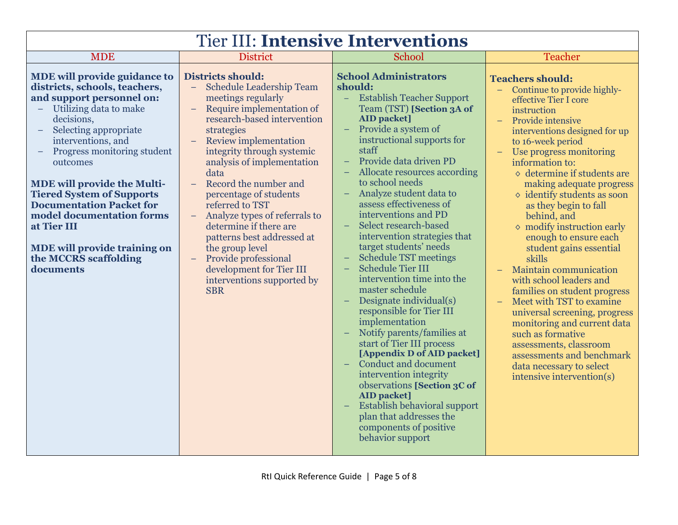| <b>Tier III: Intensive Interventions</b>                                                                                                                                                                                                                                                                                                                                                                                                                                           |                                                                                                                                                                                                                                                                                                                                                                                                                                                                                                                                                                           |                                                                                                                                                                                                                                                                                                                                                                                                                                                                                                                                                                                                                                                                                                                                                                                                                                                                                                                                                                                               |                                                                                                                                                                                                                                                                                                                                                                                                                                                                                                                                                                                                                                                                                                                                                                                                                                                   |  |  |
|------------------------------------------------------------------------------------------------------------------------------------------------------------------------------------------------------------------------------------------------------------------------------------------------------------------------------------------------------------------------------------------------------------------------------------------------------------------------------------|---------------------------------------------------------------------------------------------------------------------------------------------------------------------------------------------------------------------------------------------------------------------------------------------------------------------------------------------------------------------------------------------------------------------------------------------------------------------------------------------------------------------------------------------------------------------------|-----------------------------------------------------------------------------------------------------------------------------------------------------------------------------------------------------------------------------------------------------------------------------------------------------------------------------------------------------------------------------------------------------------------------------------------------------------------------------------------------------------------------------------------------------------------------------------------------------------------------------------------------------------------------------------------------------------------------------------------------------------------------------------------------------------------------------------------------------------------------------------------------------------------------------------------------------------------------------------------------|---------------------------------------------------------------------------------------------------------------------------------------------------------------------------------------------------------------------------------------------------------------------------------------------------------------------------------------------------------------------------------------------------------------------------------------------------------------------------------------------------------------------------------------------------------------------------------------------------------------------------------------------------------------------------------------------------------------------------------------------------------------------------------------------------------------------------------------------------|--|--|
| <b>MDE</b>                                                                                                                                                                                                                                                                                                                                                                                                                                                                         | <b>District</b>                                                                                                                                                                                                                                                                                                                                                                                                                                                                                                                                                           | School                                                                                                                                                                                                                                                                                                                                                                                                                                                                                                                                                                                                                                                                                                                                                                                                                                                                                                                                                                                        | <b>Teacher</b>                                                                                                                                                                                                                                                                                                                                                                                                                                                                                                                                                                                                                                                                                                                                                                                                                                    |  |  |
| <b>MDE will provide guidance to</b><br>districts, schools, teachers,<br>and support personnel on:<br>Utilizing data to make<br>$-$ .<br>decisions,<br>Selecting appropriate<br>interventions, and<br>Progress monitoring student<br>outcomes<br><b>MDE will provide the Multi-</b><br><b>Tiered System of Supports</b><br><b>Documentation Packet for</b><br>model documentation forms<br>at Tier III<br><b>MDE will provide training on</b><br>the MCCRS scaffolding<br>documents | <b>Districts should:</b><br><b>Schedule Leadership Team</b><br>$\equiv$<br>meetings regularly<br>Require implementation of<br>$\equiv$<br>research-based intervention<br>strategies<br><b>Review implementation</b><br>integrity through systemic<br>analysis of implementation<br>data<br>Record the number and<br>percentage of students<br>referred to TST<br>Analyze types of referrals to<br>determine if there are<br>patterns best addressed at<br>the group level<br>Provide professional<br>development for Tier III<br>interventions supported by<br><b>SBR</b> | <b>School Administrators</b><br>should:<br><b>Establish Teacher Support</b><br>$\equiv$<br>Team (TST) [Section 3A of<br><b>AID</b> packet]<br>Provide a system of<br>instructional supports for<br>staff<br>Provide data driven PD<br>$\equiv$ .<br>Allocate resources according<br>to school needs<br>Analyze student data to<br>assess effectiveness of<br>interventions and PD<br>Select research-based<br>$\equiv$<br>intervention strategies that<br>target students' needs<br><b>Schedule TST meetings</b><br><b>Schedule Tier III</b><br>intervention time into the<br>master schedule<br>Designate individual(s)<br>responsible for Tier III<br>implementation<br>Notify parents/families at<br>start of Tier III process<br>[Appendix D of AID packet]<br><b>Conduct and document</b><br>intervention integrity<br>observations [Section 3C of<br><b>AID</b> packet]<br><b>Establish behavioral support</b><br>plan that addresses the<br>components of positive<br>behavior support | <b>Teachers should:</b><br>Continue to provide highly-<br>effective Tier I core<br>instruction<br><b>Provide intensive</b><br>$\equiv$<br>interventions designed for up<br>to 16-week period<br>Use progress monitoring<br>information to:<br>$\diamond$ determine if students are<br>making adequate progress<br>$\diamond$ identify students as soon<br>as they begin to fall<br>behind, and<br>$\diamond$ modify instruction early<br>enough to ensure each<br>student gains essential<br>skills<br>Maintain communication<br>$\equiv$<br>with school leaders and<br>families on student progress<br>Meet with TST to examine<br>$\equiv$<br>universal screening, progress<br>monitoring and current data<br>such as formative<br>assessments, classroom<br>assessments and benchmark<br>data necessary to select<br>intensive intervention(s) |  |  |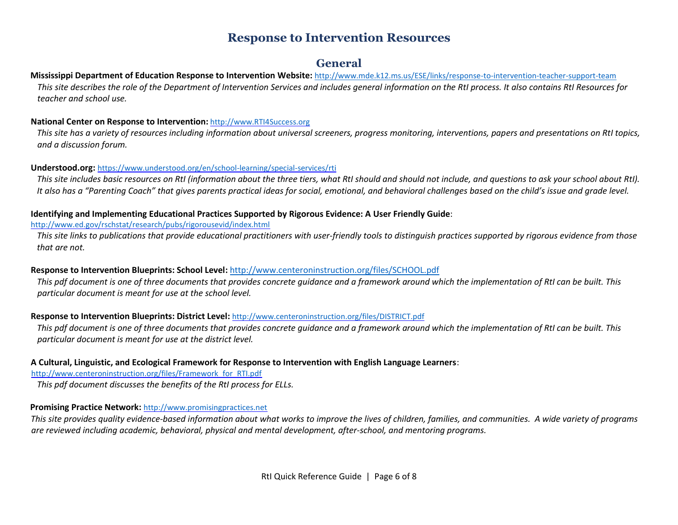# **Response to Intervention Resources**

# **General**

### **Mississippi Department of Education Response to Intervention Website:** http://www.mde.k12.ms.us/ESE/links/response-to-intervention-teacher-support-team

*This site describes the role of the Department of Intervention Services and includes general information on the RtI process. It also contains RtI Resources for teacher and school use.* 

#### **National Center on Response to Intervention:** http://www.RTI4Success.org

*This site has a variety of resources including information about universal screeners, progress monitoring, interventions, papers and presentations on RtI topics, and a discussion forum.* 

#### **Understood.org:** https://www.understood.org/en/school-learning/special-services/rti

*This site includes basic resources on RtI (information about the three tiers, what RtI should and should not include, and questions to ask your school about RtI). It also has a "Parenting Coach" that gives parents practical ideas for social, emotional, and behavioral challenges based on the child's issue and grade level.* 

#### **Identifying and Implementing Educational Practices Supported by Rigorous Evidence: A User Friendly Guide**:

#### http://www.ed.gov/rschstat/research/pubs/rigorousevid/index.html

*This site links to publications that provide educational practitioners with user-friendly tools to distinguish practices supported by rigorous evidence from those that are not.*

#### **Response to Intervention Blueprints: School Level:** http://www.centeroninstruction.org/files/SCHOOL.pdf

*This pdf document is one of three documents that provides concrete guidance and a framework around which the implementation of RtI can be built. This particular document is meant for use at the school level.*

#### **Response to Intervention Blueprints: District Level:** http://www.centeroninstruction.org/files/DISTRICT.pdf

*This pdf document is one of three documents that provides concrete guidance and a framework around which the implementation of RtI can be built. This particular document is meant for use at the district level.* 

#### **A Cultural, Linguistic, and Ecological Framework for Response to Intervention with English Language Learners**:

http://www.centeroninstruction.org/files/Framework\_for\_RTI.pdf

*This pdf document discusses the benefits of the RtI process for ELLs.*

#### **Promising Practice Network:** http://www.promisingpractices.net

*This site provides quality evidence-based information about what works to improve the lives of children, families, and communities. A wide variety of programs are reviewed including academic, behavioral, physical and mental development, after-school, and mentoring programs.*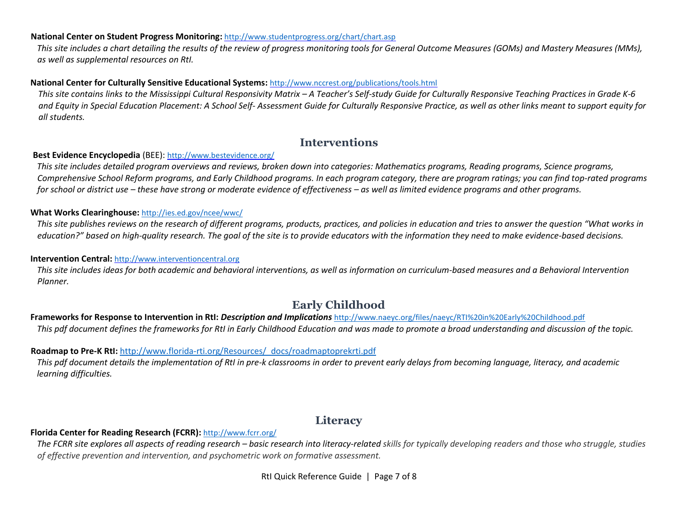#### **National Center on Student Progress Monitoring:** http://www.studentprogress.org/chart/chart.asp

*This site includes a chart detailing the results of the review of progress monitoring tools for General Outcome Measures (GOMs) and Mastery Measures (MMs), as well as supplemental resources on RtI.*

#### **National Center for Culturally Sensitive Educational Systems:** http://www.nccrest.org/publications/tools.html

*This site contains links to the Mississippi Cultural Responsivity Matrix – A Teacher's Self-study Guide for Culturally Responsive Teaching Practices in Grade K-6 and Equity in Special Education Placement: A School Self- Assessment Guide for Culturally Responsive Practice, as well as other links meant to support equity for all students.*

# **Interventions**

#### **Best Evidence Encyclopedia** (BEE): http://www.bestevidence.org/

*This site includes detailed program overviews and reviews, broken down into categories: Mathematics programs, Reading programs, Science programs, Comprehensive School Reform programs, and Early Childhood programs. In each program category, there are program ratings; you can find top-rated programs for school or district use – these have strong or moderate evidence of effectiveness – as well as limited evidence programs and other programs.* 

#### **What Works Clearinghouse:** http://ies.ed.gov/ncee/wwc/

*This site publishes reviews on the research of different programs, products, practices, and policies in education and tries to answer the question "What works in education?" based on high-quality research. The goal of the site is to provide educators with the information they need to make evidence-based decisions.*

#### **Intervention Central:** http://www.interventioncentral.org

*This site includes ideas for both academic and behavioral interventions, as well as information on curriculum-based measures and a Behavioral Intervention Planner.*

# **Early Childhood**

#### **Frameworks for Response to Intervention in RtI:** *Description and Implications* http://www.naeyc.org/files/naeyc/RTI%20in%20Early%20Childhood.pdf *This pdf document defines the frameworks for RtI in Early Childhood Education and was made to promote a broad understanding and discussion of the topic.*

#### **Roadmap to Pre-K RtI:** http://www.florida-rti.org/Resources/\_docs/roadmaptoprekrti.pdf

*This pdf document details the implementation of RtI in pre-k classrooms in order to prevent early delays from becoming language, literacy, and academic learning difficulties.*

## **Literacy**

#### **Florida Center for Reading Research (FCRR):** http://www.fcrr.org/

The FCRR site explores all aspects of reading research – basic research into literacy-related skills for typically developing readers and those who struggle, studies *of effective prevention and intervention, and psychometric work on formative assessment.*

RtI Quick Reference Guide | Page 7 of 8